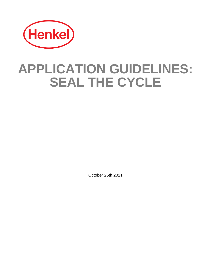

# **APPLICATION GUIDELINES: SEAL THE CYCLE**

October 26th 2021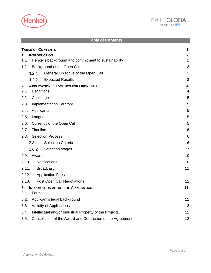



<span id="page-1-0"></span>

| <b>Table of Contents</b>                                          |                |  |
|-------------------------------------------------------------------|----------------|--|
| <b>TABLE OF CONTENTS</b>                                          | 1              |  |
| <b>INTRODUCTION</b><br>1.                                         | $\mathbf{2}$   |  |
| Henkel's background and commitment to sustainability<br>1.1.      | $\overline{2}$ |  |
| 1.2. Background of the Open Call                                  | 3              |  |
| 1.2.1.<br>General Objective of the Open Call                      | 3              |  |
| 1.2.2.<br><b>Expected Results</b>                                 | 3              |  |
| <b>APPLICATION GUIDELINES FOR OPEN CALL</b><br>2.                 | 4              |  |
| Definitions<br>2.1.                                               | 4              |  |
| 2.2.<br>Challenge                                                 | 5              |  |
| 2.3.<br><b>Implementation Territory</b>                           | 5              |  |
| 2.4.<br>Applicants                                                | 5              |  |
| 2.5.<br>Language                                                  | 5              |  |
| 2.6.<br>Currency of the Open Call                                 | 5              |  |
| Timeline<br>2.7.                                                  | 6              |  |
| 2.8. Selection Process                                            | 6              |  |
| 2.8.1.<br><b>Selection Criteria</b>                               | 6              |  |
| 2.8.2.<br>Selection stages                                        | $\overline{7}$ |  |
| Awards<br>2.9.                                                    | 10             |  |
| 2.10.<br>Notifications                                            | 10             |  |
| 2.11. Broadcast                                                   | 11             |  |
| 2.12. Application Fees                                            | 11             |  |
| 2.13.<br>Post Open Call Negotiations                              | 11             |  |
| 3.<br><b>INFORMATION ABOUT THE APPLICATION</b>                    | 11             |  |
| 3.1.<br>Forms                                                     | 11             |  |
| Applicant's legal background<br>3.2.                              | 12             |  |
| 3.3.<br><b>Validity of Applications</b><br>12                     |                |  |
| Intellectual and/or Industrial Property of the Projects.<br>3.4.  | 12             |  |
| 3.5.<br>Cancellation of the Award and Conclusion of the Agreement | 12             |  |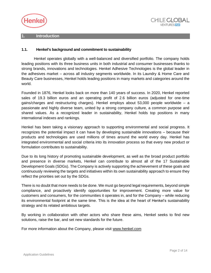



## <span id="page-2-0"></span>**1. Introduction**

# <span id="page-2-1"></span>**1.1. Henkel's background and commitment to sustainability**

Henkel operates globally with a well-balanced and diversified portfolio. The company holds leading positions with its three business units in both industrial and consumer businesses thanks to strong brands, innovations and technologies. Henkel Adhesive Technologies is the global leader in the adhesives market – across all industry segments worldwide. In its Laundry & Home Care and Beauty Care businesses, Henkel holds leading positions in many markets and categories around the world.

Founded in 1876, Henkel looks back on more than 140 years of success. In 2020, Henkel reported sales of 19.3 billion euros and an operating profit of 2.6 billion euros (adjusted for one-time gains/charges and restructuring charges). Henkel employs about 53,000 people worldwide – a passionate and highly diverse team, united by a strong company culture, a common purpose and shared values. As a recognized leader in sustainability, Henkel holds top positions in many international indexes and rankings.

Henkel has been taking a visionary approach to supporting environmental and social progress. It recognizes the potential impact it can have by developing sustainable innovations – because their products and technologies are used millions of times around the world every day. Henkel has integrated environmental and social criteria into its innovation process so that every new product or formulation contributes to sustainability.

Due to its long history of promoting sustainable development, as well as the broad product portfolio and presence in diverse markets, Henkel can contribute to almost all of the 17 Sustainable Development Goals (SDGs). The Company is actively supporting the achievement of these goals and continuously reviewing the targets and initiatives within its own sustainability approach to ensure they reflect the priorities set out by the SDGs.

There is no doubt that more needs to be done. We must go beyond legal requirements, beyond simple compliance, and proactively identify opportunities for improvement. Creating more value for customers and consumers, for the communities it operates in, and for the Company – while reducing its environmental footprint at the same time. This is the idea at the heart of Henkel's sustainability strategy and its related ambitious targets.

By working in collaboration with other actors who share these aims, Henkel seeks to find new solutions, raise the bar, and set new standards for the future.

For more information about the Company, please visit [www.henkel.com](https://www.henkel.com/)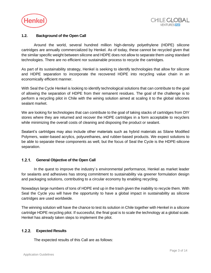



# <span id="page-3-0"></span>**1.2. Background of the Open Call**

Around the world, several hundred million high-density polyethylene (HDPE) silicone cartridges are annually commercialized by Henkel. As of today, these cannot be recycled given that the similar specific weight between silicone and HDPE does not allow to separate them using standard technologies. There are no efficient nor sustainable process to recycle the cartridges.

As part of its sustainability strategy, Henkel is seeking to identify technologies that allow for silicone and HDPE separation to incorporate the recovered HDPE into recycling value chain in an economically efficient manner.

With Seal the Cycle Henkel is looking to identify technological solutions that can contribute to the goal of allowing the separation of HDPE from their remanent residues. The goal of the challenge is to perform a recycling pilot in Chile with the wining solution aimed at scaling it to the global silicones sealant market.

We are looking for technologies that can contribute to the goal of taking stacks of cartridges from DIY stores where they are returned and recover the HDPE cartridges in a form acceptable to recyclers while minimizing the overall costs of cleaning and disposing the product or sealant.

Sealant's cartridges may also include other materials such as hybrid materials as Silane Modified Polymers, water-based acrylics, polyurethanes, and rubber-based products. We expect solutions to be able to separate these components as well, but the focus of Seal the Cycle is the HDPE-silicone separation.

#### <span id="page-3-1"></span> $1.2.1.$ **General Objective of the Open Call**

In the quest to improve the industry´s environmental performance, Henkel as market leader for sealants and adhesives has strong commitment to sustainability via greener formulation design and packaging solutions, contributing to a circular economy by enabling recycling.

Nowadays large numbers of tons of HDPE end up in the trash given the inability to recycle them. With Seal the Cycle you will have the opportunity to have a global impact in sustainability as silicone cartridges are used worldwide.

The winning solution will have the chance to test its solution in Chile together with Henkel in a silicone cartridge HDPE recycling pilot. If successful, the final goal is to scale the technology at a global scale. Henkel has already taken steps to implement the pilot.

#### <span id="page-3-2"></span> $1.2.2.$ **Expected Results**

The expected results of this Call are as follows: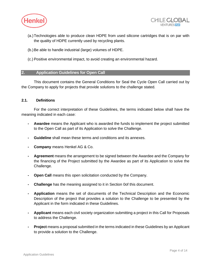



- (a.)Technologies able to produce clean HDPE from used silicone cartridges that is on par with the quality of HDPE currently used by recycling plants.
- (b.)Be able to handle industrial (large) volumes of HDPE.
- (c.) Positive environmental impact, to avoid creating an environmental hazard.

# <span id="page-4-0"></span>**2. Application Guidelines for Open Call**

This document contains the General Conditions for Seal the Cycle Open Call carried out by the Company to apply for projects that provide solutions to the challenge stated.

## <span id="page-4-1"></span>**2.1. Definitions**

<span id="page-4-2"></span>For the correct interpretation of these Guidelines, the terms indicated below shall have the meaning indicated in each case:

- **- Awardee** means the Applicant who is awarded the funds to implement the project submitted to the Open Call as part of its Application to solve the Challenge.
- **- Guideline** shall mean these terms and conditions and its annexes.
- **- Company** means Henkel AG & Co.
- **- Agreement** means the arrangement to be signed between the Awardee and the Company for the financing of the Project submitted by the Awardee as part of its Application to solve the Challenge.
- **- Open Call** means this open solicitation conducted by the Company.
- **- Challenge** has the meaning assigned to it in Section [0o](#page-4-2)f this document.
- **- Application** means the set of documents of the Technical Description and the Economic Description of the project that provides a solution to the Challenge to be presented by the Applicant in the form indicated in these Guidelines.
- **- Applicant** means each civil society organization submitting a project in this Call for Proposals to address the Challenge.
- **- Project** means a proposal submitted in the terms indicated in these Guidelines by an Applicant to provide a solution to the Challenge.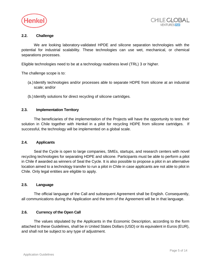



# <span id="page-5-0"></span>**2.2. Challenge**

We are looking laboratory-validated HPDE and silicone separation technologies with the potential for industrial scalability. These technologies can use wet, mechanical, or chemical separations processes.

Eligible technologies need to be at a technology readiness level (TRL) 3 or higher.

The challenge scope is to:

- (a.)Identify technologies and/or processes able to separate HDPE from silicone at an industrial scale; and/or
- (b.)Identify solutions for direct recycling of silicone cartridges.

## <span id="page-5-1"></span>**2.3. Implementation Territory**

The beneficiaries of the implementation of the Projects will have the opportunity to test their solution in Chile together with Henkel in a pilot for recycling HDPE from silicone cartridges. If successful, the technology will be implemented on a global scale.

## <span id="page-5-2"></span>**2.4. Applicants**

Seal the Cycle is open to large companies, SMEs, startups, and research centers with novel recycling technologies for separating HDPE and silicone. Participants must be able to perform a pilot in Chile if awarded as winners of Seal the Cycle. It is also possible to propose a pilot in an alternative location aimed to a technology transfer to run a pilot in Chile in case applicants are not able to pilot in Chile. Only legal entities are eligible to apply.

#### <span id="page-5-3"></span>**2.5. Language**

The official language of the Call and subsequent Agreement shall be English. Consequently, all communications during the Application and the term of the Agreement will be in that language.

## <span id="page-5-4"></span>**2.6. Currency of the Open Call**

The values stipulated by the Applicants in the Economic Description, according to the form attached to these Guidelines, shall be in United States Dollars (USD) or its equivalent in Euros (EUR), and shall not be subject to any type of adjustment.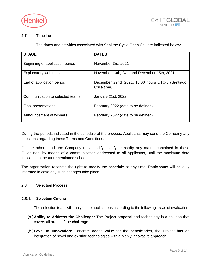



# <span id="page-6-0"></span>**2.7. Timeline**

The dates and activities associated with Seal the Cycle Open Call are indicated below:

| <b>STAGE</b>                    | <b>DATES</b>                                                     |
|---------------------------------|------------------------------------------------------------------|
| Beginning of application period | November 3rd, 2021                                               |
| <b>Explanatory webinars</b>     | November 10th, 24th and December 15th, 2021                      |
| End of application period       | December 22nd, 2021, 18:00 hours UTC-3 (Santiago,<br>Chile time) |
| Communication to selected teams | January 21st, 2022                                               |
| Final presentations             | February 2022 (date to be defined)                               |
| Announcement of winners         | February 2022 (date to be defined)                               |

During the periods indicated in the schedule of the process, Applicants may send the Company any questions regarding these Terms and Conditions.

On the other hand, the Company may modify, clarify or rectify any matter contained in these Guidelines, by means of a communication addressed to all Applicants, until the maximum date indicated in the aforementioned schedule.

The organization reserves the right to modify the schedule at any time. Participants will be duly informed in case any such changes take place.

## <span id="page-6-1"></span>**2.8. Selection Process**

#### <span id="page-6-2"></span> $2.8.1.$ **Selection Criteria**

The selection team will analyze the applications according to the following areas of evaluation:

- (a.)**Ability to Address the Challenge:** The Project proposal and technology is a solution that covers all areas of the challenge.
- (b.)**Level of Innovation:** Concrete added value for the beneficiaries, the Project has an integration of novel and existing technologies with a highly innovative approach.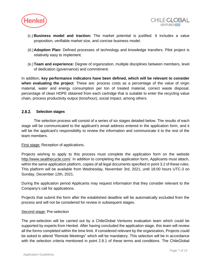



- (c.) **Business model and traction:** The market potential is justified. It includes a value proposition, verifiable market size, and concise business model.
- (d.)**Adoption Plan:** Defined processes of technology and knowledge transfers. Pilot project is relatively easy to implement.
- (e.)**Team and experience:** Degree of organization, multiple disciplines between members, level of dedication (governance) and commitment.

In addition, **key performance indicators have been defined, which will be relevant to consider when evaluating the project**. These are: process costs as a percentage of the value of virgin material, water and energy consumption per ton of treated material, correct waste disposal, percentage of clean HDPE obtained from each cartridge that is suitable to enter the recycling value chain, process productivity output (tons/hour), social impact, among others.

#### <span id="page-7-0"></span> $2.8.2.$ **Selection stages**

The selection process will consist of a series of six stages detailed below. The results of each stage will be communicated to the applicant's email address entered in the application form, and it will be the applicant's responsibility to review the information and communicate it to the rest of the team members.

First stage: Reception of applications.

Projects wishing to apply to this process must complete the application form on the website [http://www.sealthecycle.com/.](http://www.sealthecycle.com/) In addition to completing the application form, Applicants must attach, within the same application platform, copies of all legal documents specified in point 3.2 of these rules. This platform will be available from Wednesday, November 3rd, 2021, until 18:00 hours UTC-3 on Sunday, December 12th, 2021.

During the application period Applicants may request information that they consider relevant to the Company's call for applications.

Projects that submit the form after the established deadline will be automatically excluded from the process and will not be considered for review in subsequent stages.

# Second stage: Pre-selection

The pre-selection will be carried out by a ChileGlobal Ventures evaluation team which could be supported by experts from Henkel. After having concluded the application stage, this team will review all the forms completed within the time limit. If considered relevant by the organization, Projects could be asked to attend "Remote Meetings" which will be mandatory. This selection will be in accordance with the selection criteria mentioned in point 2.8.1 of these terms and conditions. The ChileGlobal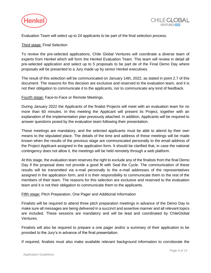



Evaluation Team will select up to 24 applicants to be part of the final selection process.

# Third stage: Final Selection

To review the pre-selected applications, Chile Global Ventures will coordinate a diverse team of experts from Henkel which will form the Henkel Evaluation Team. This team will review in detail all pre-selected application and select up to 5 proposals to be part de of the Final Demo Day where proposals will be presented to a Jury made up by senior Henkel executives.

The result of this selection will be communicated on January 14th, 2022, as stated in point 2.7 of this document. The reasons for this decision are exclusive and reserved to the evaluation team, and it is not their obligation to communicate it to the applicants, nor to communicate any kind of feedback.

Fourth stage: Face-to-Face or Remote Meetings.

During January 2022 the Applicants of the finalist Projects will meet with an evaluation team for no more than 60 minutes. In this meeting the Applicant will present its Project, together with an explanation of the implementation plan previously attached. In addition, Applicants will be required to answer questions posed by the evaluation team following their presentation.

These meetings are mandatory, and the selected applicants must be able to attend by their own means to the stipulated place. The details of the time and address of these meetings will be made known when the results of the previous stage are communicated personally to the email address of the Project Applicant assigned in the application form. It should be clarified that, in case the national contingency does not allow it, the meetings will be held remotely through a web platform.

At this stage, the evaluation team reserves the right to exclude any of the finalists from the final Demo Day if the proposal does not provide a good fit with Seal the Cycle. The communication of these results will be transmitted via e-mail personally to the e-mail addresses of the representatives assigned in the application form, and it is their responsibility to communicate them to the rest of the members of their team. The reasons for this selection are exclusive and reserved to the evaluation team and it is not their obligation to communicate them to the applicants.

## Fifth stage: Pitch Preparation, One Pager and Additional Information

Finalists will be required to attend three pitch preparation meetings in advance of the Demo Day to make sure all messages are being delivered in a succinct and assertive manner and all relevant topics are included. These sessions are mandatory and will be lead and coordinated by ChileGlobal Ventures.

Finalists will also be required to prepare a one pager and/or a summary of their application to be provided to the Jury's in advance of the final presentation.

If required, finalists must also make available relevant background information to corroborate the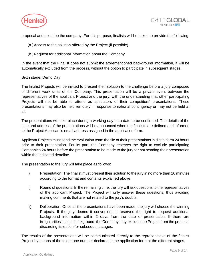



proposal and describe the company. For this purpose, finalists will be asked to provide the following:

- (a.)Access to the solution offered by the Project (if possible).
- (b.)Request for additional information about the Company

In the event that the Finalist does not submit the aforementioned background information, it will be automatically excluded from the process, without the option to participate in subsequent stages.

## Sixth stage: Demo Day

The finalist Projects will be invited to present their solution to the challenge before a jury composed of different work units of the Company. This presentation will be a private event between the representatives of the applicant Project and the jury, with the understanding that other participating Projects will not be able to attend as spectators of their competitors' presentations. These presentations may also be held remotely in response to national contingency or may not be held at all.

The presentations will take place during a working day on a date to be confirmed. The details of the time and address of the presentations will be announced when the finalists are defined and informed to the Project Applicant's email address assigned in the application form.

Applicant Projects must send the evaluation team the file of their presentations in digital form 24 hours prior to their presentation. For its part, the Company reserves the right to exclude participating Companies 24 hours before the presentation to be made to the jury for not sending their presentation within the indicated deadline.

The presentation to the jury will take place as follows:

- i) Presentation: The finalist must present their solution to the jury in no more than 10 minutes according to the format and contents explained above.
- ii) Round of questions: In the remaining time, the jury will ask questions to the representatives of the applicant Project. The Project will only answer these questions, thus avoiding making comments that are not related to the jury's doubts.
- iii) Deliberation: Once all the presentations have been made, the jury will choose the winning Projects. If the jury deems it convenient, it reserves the right to request additional background information within 2 days from the date of presentation. If there are irregularities in such background, the Company may exclude the Project from the process, discarding its option for subsequent stages.

The results of the presentations will be communicated directly to the representative of the finalist Project by means of the telephone number declared in the application form at the different stages.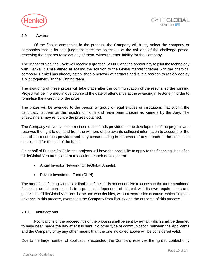



# <span id="page-10-0"></span>**2.9. Awards**

Of the finalist companies in the process, the Company will freely select the company or companies that in its sole judgment meet the objectives of the call and of the challenge posed, reserving the right not to select any of them, without further liability for the Company.

The winner of Seal the Cycle will receive a grant of  $\epsilon$ 20.000 and the opportunity to pilot the technology with Henkel in Chile aimed at scaling the solution to the Global market together with the chemical company. Henkel has already established a network of partners and is in a position to rapidly deploy a pilot together with the winning team.

The awarding of these prizes will take place after the communication of the results, so the winning Project will be informed in due course of the date of attendance at the awarding milestone, in order to formalize the awarding of the prize.

The prizes will be awarded to the person or group of legal entities or institutions that submit the candidacy, appear on the registration form and have been chosen as winners by the Jury. The prizewinners may renounce the prizes obtained.

The Company will verify the correct use of the funds provided for the development of the projects and reserves the right to demand from the winners of the awards sufficient information to account for the use of the resources provided and may cease funding in the event of any breach of the conditions established for the use of the funds.

On behalf of Fundación Chile, the projects will have the possibility to apply to the financing lines of its ChileGlobal Ventures platform to accelerate their development:

- Angel Investor Network (ChileGlobal Angels).
- Private Investment Fund (CLIN).

The mere fact of being winners or finalists of the call is not conducive to access to the aforementioned financing, as this corresponds to a process independent of this call with its own requirements and guidelines. ChileGlobal Ventures is the one who decides, without expression of cause, which Projects advance in this process, exempting the Company from liability and the outcome of this process.

# <span id="page-10-1"></span>**2.10. Notifications**

Notifications of the proceedings of the process shall be sent by e-mail, which shall be deemed to have been made the day after it is sent. No other type of communication between the Applicants and the Company or by any other means than the one indicated above will be considered valid.

Due to the large number of applications expected, the Company reserves the right to contact only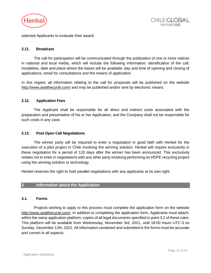



selected Applicants to evaluate their award.

# <span id="page-11-0"></span>**2.11. Broadcast**

The call for participation will be communicated through the publication of one or more notices in national and local media, which will include the following information: identification of the call, modalities, date and place where the bases will be available, day and time of opening and closing of applications, email for consultations and the means of application.

In this regard, all information relating to the call for proposals will be published on the website <http://www.sealthecycle.com/> and may be published and/or sent by electronic means.

## <span id="page-11-1"></span>**2.12. Application Fees**

The Applicant shall be responsible for all direct and indirect costs associated with the preparation and presentation of his or her Application, and the Company shall not be responsible for such costs in any case.

# <span id="page-11-2"></span>**2.13. Post Open Call Negotiations**

The winner party will be required to enter a negotiation in good faith with Henkel for the execution of a pilot project in Chile involving the winning solution. Henkel will require exclusivity in these negotiation for a period of 120 days after the winner has been announced. This exclusivity relates not to enter in negotiations with any other party involving performing an HDPE recycling project using the winning solution or technology.

Henkel reserves the right to hold parallel negotiations with any applicants at its own right.

# <span id="page-11-3"></span>**3. Information about the Application**

## <span id="page-11-4"></span>**3.1. Forms**

Projects wishing to apply to this process must complete the application form on the website [http://www.sealthecycle.com/.](http://www.sealthecycle.com/) In addition to completing the application form, Applicants must attach, within the same application platform, copies of all legal documents specified in point 3.2 of these rules. This platform will be available from Wednesday, November 3rd, 2021, until 18:00 hours UTC-3 on Sunday, December 12th, 2021. All information contained and submitted in the forms must be accurate and correct in all aspects.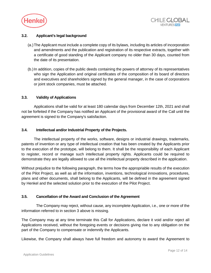



# <span id="page-12-0"></span>**3.2. Applicant's legal background**

- (a.)The Applicant must include a complete copy of its bylaws, including its articles of incorporation and amendments and the publication and registration of its respective extracts, together with a certificate of good standing of the Applicant company no older than 30 days, counted from the date of its presentation.
- (b.)In addition, copies of the public deeds containing the powers of attorney of its representatives who sign the Application and original certificates of the composition of its board of directors and executives and shareholders signed by the general manager, in the case of corporations or joint stock companies, must be attached.

## <span id="page-12-1"></span>**3.3. Validity of Applications**

Applications shall be valid for at least 180 calendar days from December 12th, 2021 and shall not be forfeited if the Company has notified an Applicant of the provisional award of the Call until the agreement is signed to the Company's satisfaction.

## <span id="page-12-2"></span>**3.4. Intellectual and/or Industrial Property of the Projects.**

The intellectual property of the works, software, designs or industrial drawings, trademarks, patents of invention or any type of intellectual creation that has been created by the Applicants prior to the execution of the prototype, will belong to them. It shall be the responsibility of each Applicant to register, record or manage such intellectual property rights. Applicants could be required to demonstrate they are legally allowed to use all the intellectual property described in the application.

Without prejudice to the following paragraph, the terms how the appropriable results of the execution of the Pilot Project, as well as all the information, inventions, technological innovations, procedures, plans and other documents, shall belong to the Applicants, will be defined in the agreement signed by Henkel and the selected solution prior to the execution of the Pilot Project.

# <span id="page-12-3"></span>**3.5. Cancellation of the Award and Conclusion of the Agreement**

The Company may reject, without cause, any incomplete Application, i.e., one or more of the information referred to in section 3 above is missing.

The Company may at any time terminate this Call for Applications, declare it void and/or reject all Applications received, without the foregoing events or decisions giving rise to any obligation on the part of the Company to compensate or indemnify the Applicants.

Likewise, the Company shall always have full freedom and autonomy to award the Agreement to